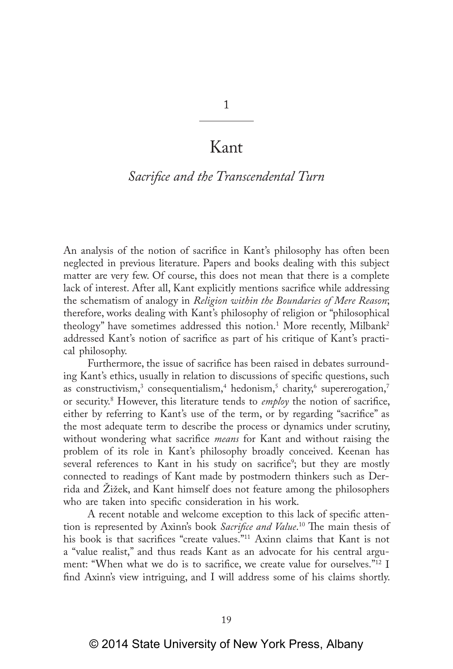#### 1

# Kant

# *Sacrifice and the Transcendental Turn*

An analysis of the notion of sacrifice in Kant's philosophy has often been neglected in previous literature. Papers and books dealing with this subject matter are very few. Of course, this does not mean that there is a complete lack of interest. After all, Kant explicitly mentions sacrifice while addressing the schematism of analogy in *Religion within the Boundaries of Mere Reason*; therefore, works dealing with Kant's philosophy of religion or "philosophical theology" have sometimes addressed this notion. $^1$  More recently, Milbank $^2$ addressed Kant's notion of sacrifice as part of his critique of Kant's practical philosophy.

Furthermore, the issue of sacrifice has been raised in debates surrounding Kant's ethics, usually in relation to discussions of specific questions, such as constructivism, $^3$  consequentialism, $^4$  hedonism, $^5$  charity, $^6$  supererogation, $^7$ or security.8 However, this literature tends to *employ* the notion of sacrifice, either by referring to Kant's use of the term, or by regarding "sacrifice" as the most adequate term to describe the process or dynamics under scrutiny, without wondering what sacrifice *means* for Kant and without raising the problem of its role in Kant's philosophy broadly conceived. Keenan has several references to Kant in his study on sacrifice<sup>9</sup>; but they are mostly connected to readings of Kant made by postmodern thinkers such as Derrida and Žižek, and Kant himself does not feature among the philosophers who are taken into specific consideration in his work.

A recent notable and welcome exception to this lack of specific attention is represented by Axinn's book *Sacrifice and Value*. 10 The main thesis of his book is that sacrifices "create values."11 Axinn claims that Kant is not a "value realist," and thus reads Kant as an advocate for his central argument: "When what we do is to sacrifice, we create value for ourselves."<sup>12</sup> I find Axinn's view intriguing, and I will address some of his claims shortly.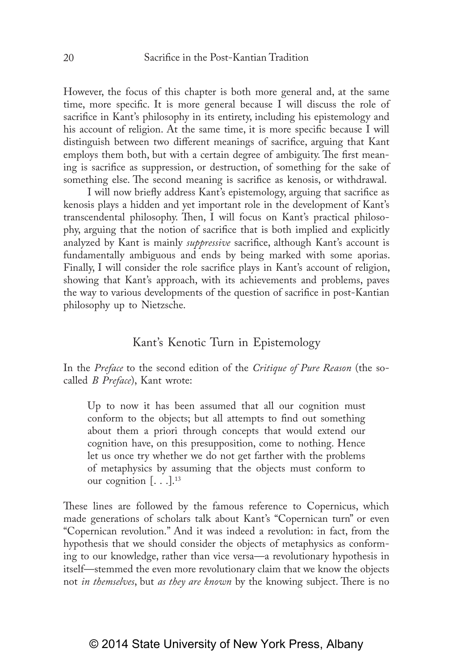However, the focus of this chapter is both more general and, at the same time, more specific. It is more general because I will discuss the role of sacrifice in Kant's philosophy in its entirety, including his epistemology and his account of religion. At the same time, it is more specific because I will distinguish between two different meanings of sacrifice, arguing that Kant employs them both, but with a certain degree of ambiguity. The first meaning is sacrifice as suppression, or destruction, of something for the sake of something else. The second meaning is sacrifice as kenosis, or withdrawal.

I will now briefly address Kant's epistemology, arguing that sacrifice as kenosis plays a hidden and yet important role in the development of Kant's transcendental philosophy. Then, I will focus on Kant's practical philosophy, arguing that the notion of sacrifice that is both implied and explicitly analyzed by Kant is mainly *suppressive* sacrifice, although Kant's account is fundamentally ambiguous and ends by being marked with some aporias. Finally, I will consider the role sacrifice plays in Kant's account of religion, showing that Kant's approach, with its achievements and problems, paves the way to various developments of the question of sacrifice in post-Kantian philosophy up to Nietzsche.

### Kant's Kenotic Turn in Epistemology

In the *Preface* to the second edition of the *Critique of Pure Reason* (the socalled *B Preface*), Kant wrote:

Up to now it has been assumed that all our cognition must conform to the objects; but all attempts to find out something about them a priori through concepts that would extend our cognition have, on this presupposition, come to nothing. Hence let us once try whether we do not get farther with the problems of metaphysics by assuming that the objects must conform to our cognition [...].<sup>13</sup>

These lines are followed by the famous reference to Copernicus, which made generations of scholars talk about Kant's "Copernican turn" or even "Copernican revolution." And it was indeed a revolution: in fact, from the hypothesis that we should consider the objects of metaphysics as conforming to our knowledge, rather than vice versa—a revolutionary hypothesis in itself—stemmed the even more revolutionary claim that we know the objects not *in themselves*, but *as they are known* by the knowing subject. There is no

# © 2014 State University of New York Press, Albany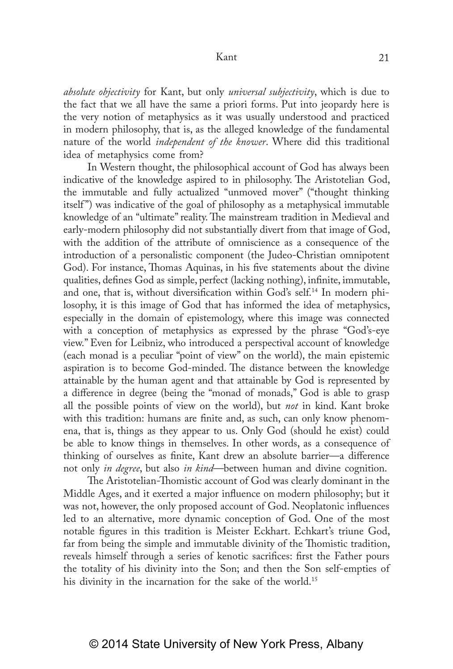*absolute objectivity* for Kant, but only *universal subjectivity*, which is due to the fact that we all have the same a priori forms. Put into jeopardy here is the very notion of metaphysics as it was usually understood and practiced in modern philosophy, that is, as the alleged knowledge of the fundamental nature of the world *independent of the knower*. Where did this traditional idea of metaphysics come from?

In Western thought, the philosophical account of God has always been indicative of the knowledge aspired to in philosophy. The Aristotelian God, the immutable and fully actualized "unmoved mover" ("thought thinking itself") was indicative of the goal of philosophy as a metaphysical immutable knowledge of an "ultimate" reality. The mainstream tradition in Medieval and early-modern philosophy did not substantially divert from that image of God, with the addition of the attribute of omniscience as a consequence of the introduction of a personalistic component (the Judeo-Christian omnipotent God). For instance, Thomas Aquinas, in his five statements about the divine qualities, defines God as simple, perfect (lacking nothing), infinite, immutable, and one, that is, without diversification within God's self.14 In modern philosophy, it is this image of God that has informed the idea of metaphysics, especially in the domain of epistemology, where this image was connected with a conception of metaphysics as expressed by the phrase "God's-eye view." Even for Leibniz, who introduced a perspectival account of knowledge (each monad is a peculiar "point of view" on the world), the main epistemic aspiration is to become God-minded. The distance between the knowledge attainable by the human agent and that attainable by God is represented by a difference in degree (being the "monad of monads," God is able to grasp all the possible points of view on the world), but *not* in kind. Kant broke with this tradition: humans are finite and, as such, can only know phenomena, that is, things as they appear to us. Only God (should he exist) could be able to know things in themselves. In other words, as a consequence of thinking of ourselves as finite, Kant drew an absolute barrier—a difference not only *in degree*, but also *in kind*—between human and divine cognition.

The Aristotelian-Thomistic account of God was clearly dominant in the Middle Ages, and it exerted a major influence on modern philosophy; but it was not, however, the only proposed account of God. Neoplatonic influences led to an alternative, more dynamic conception of God. One of the most notable figures in this tradition is Meister Eckhart. Echkart's triune God, far from being the simple and immutable divinity of the Thomistic tradition, reveals himself through a series of kenotic sacrifices: first the Father pours the totality of his divinity into the Son; and then the Son self-empties of his divinity in the incarnation for the sake of the world.<sup>15</sup>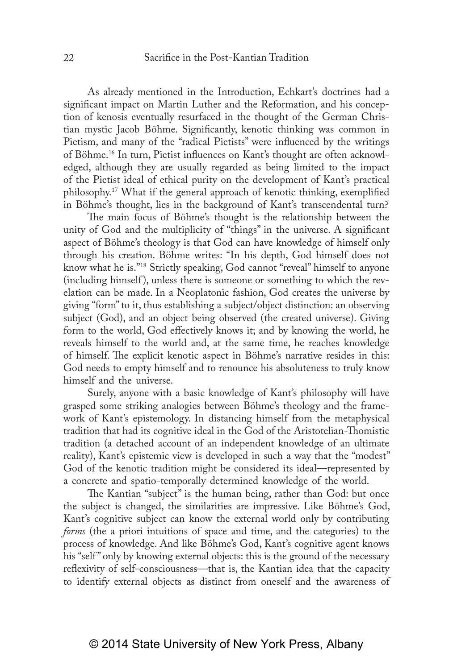As already mentioned in the Introduction, Echkart's doctrines had a significant impact on Martin Luther and the Reformation, and his conception of kenosis eventually resurfaced in the thought of the German Christian mystic Jacob Böhme. Significantly, kenotic thinking was common in Pietism, and many of the "radical Pietists" were influenced by the writings of Böhme.16 In turn, Pietist influences on Kant's thought are often acknowledged, although they are usually regarded as being limited to the impact of the Pietist ideal of ethical purity on the development of Kant's practical philosophy.17 What if the general approach of kenotic thinking, exemplified in Böhme's thought, lies in the background of Kant's transcendental turn?

The main focus of Böhme's thought is the relationship between the unity of God and the multiplicity of "things" in the universe. A significant aspect of Böhme's theology is that God can have knowledge of himself only through his creation. Böhme writes: "In his depth, God himself does not know what he is."18 Strictly speaking, God cannot "reveal" himself to anyone (including himself ), unless there is someone or something to which the revelation can be made. In a Neoplatonic fashion, God creates the universe by giving "form" to it, thus establishing a subject/object distinction: an observing subject (God), and an object being observed (the created universe). Giving form to the world, God effectively knows it; and by knowing the world, he reveals himself to the world and, at the same time, he reaches knowledge of himself. The explicit kenotic aspect in Böhme's narrative resides in this: God needs to empty himself and to renounce his absoluteness to truly know himself and the universe.

Surely, anyone with a basic knowledge of Kant's philosophy will have grasped some striking analogies between Böhme's theology and the framework of Kant's epistemology. In distancing himself from the metaphysical tradition that had its cognitive ideal in the God of the Aristotelian-Thomistic tradition (a detached account of an independent knowledge of an ultimate reality), Kant's epistemic view is developed in such a way that the "modest" God of the kenotic tradition might be considered its ideal—represented by a concrete and spatio-temporally determined knowledge of the world.

The Kantian "subject" is the human being, rather than God: but once the subject is changed, the similarities are impressive. Like Böhme's God, Kant's cognitive subject can know the external world only by contributing *forms* (the a priori intuitions of space and time, and the categories) to the process of knowledge. And like Böhme's God, Kant's cognitive agent knows his "self" only by knowing external objects: this is the ground of the necessary reflexivity of self-consciousness—that is, the Kantian idea that the capacity to identify external objects as distinct from oneself and the awareness of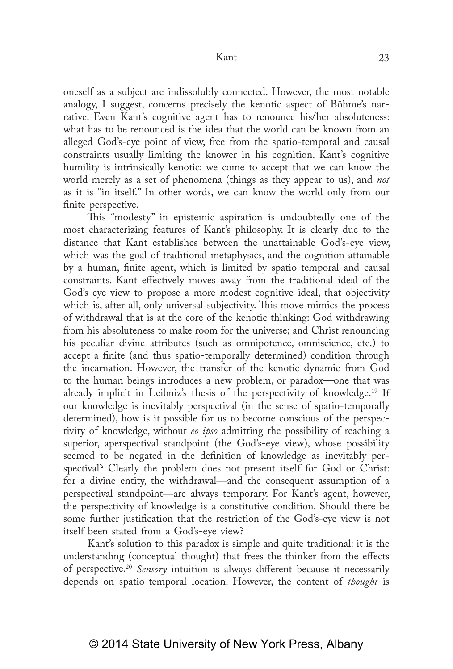oneself as a subject are indissolubly connected. However, the most notable analogy, I suggest, concerns precisely the kenotic aspect of Böhme's narrative. Even Kant's cognitive agent has to renounce his/her absoluteness: what has to be renounced is the idea that the world can be known from an alleged God's-eye point of view, free from the spatio-temporal and causal constraints usually limiting the knower in his cognition. Kant's cognitive humility is intrinsically kenotic: we come to accept that we can know the world merely as a set of phenomena (things as they appear to us), and *not* as it is "in itself." In other words, we can know the world only from our finite perspective.

This "modesty" in epistemic aspiration is undoubtedly one of the most characterizing features of Kant's philosophy. It is clearly due to the distance that Kant establishes between the unattainable God's-eye view, which was the goal of traditional metaphysics, and the cognition attainable by a human, finite agent, which is limited by spatio-temporal and causal constraints. Kant effectively moves away from the traditional ideal of the God's-eye view to propose a more modest cognitive ideal, that objectivity which is, after all, only universal subjectivity. This move mimics the process of withdrawal that is at the core of the kenotic thinking: God withdrawing from his absoluteness to make room for the universe; and Christ renouncing his peculiar divine attributes (such as omnipotence, omniscience, etc.) to accept a finite (and thus spatio-temporally determined) condition through the incarnation. However, the transfer of the kenotic dynamic from God to the human beings introduces a new problem, or paradox—one that was already implicit in Leibniz's thesis of the perspectivity of knowledge.19 If our knowledge is inevitably perspectival (in the sense of spatio-temporally determined), how is it possible for us to become conscious of the perspectivity of knowledge, without *eo ipso* admitting the possibility of reaching a superior, aperspectival standpoint (the God's-eye view), whose possibility seemed to be negated in the definition of knowledge as inevitably perspectival? Clearly the problem does not present itself for God or Christ: for a divine entity, the withdrawal—and the consequent assumption of a perspectival standpoint—are always temporary. For Kant's agent, however, the perspectivity of knowledge is a constitutive condition. Should there be some further justification that the restriction of the God's-eye view is not itself been stated from a God's-eye view?

Kant's solution to this paradox is simple and quite traditional: it is the understanding (conceptual thought) that frees the thinker from the effects of perspective.20 *Sensory* intuition is always different because it necessarily depends on spatio-temporal location. However, the content of *thought* is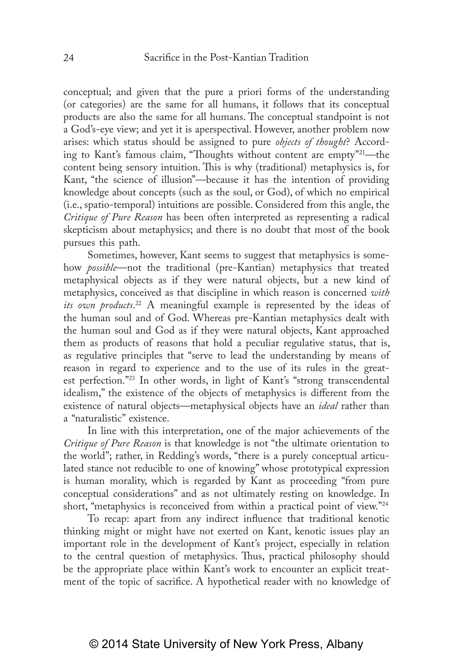conceptual; and given that the pure a priori forms of the understanding (or categories) are the same for all humans, it follows that its conceptual products are also the same for all humans. The conceptual standpoint is not a God's-eye view; and yet it is aperspectival. However, another problem now arises: which status should be assigned to pure *objects of thought*? According to Kant's famous claim, "Thoughts without content are empty"21—the content being sensory intuition. This is why (traditional) metaphysics is, for Kant, "the science of illusion"—because it has the intention of providing knowledge about concepts (such as the soul, or God), of which no empirical (i.e., spatio-temporal) intuitions are possible. Considered from this angle, the *Critique of Pure Reason* has been often interpreted as representing a radical skepticism about metaphysics; and there is no doubt that most of the book pursues this path.

Sometimes, however, Kant seems to suggest that metaphysics is somehow *possible*—not the traditional (pre-Kantian) metaphysics that treated metaphysical objects as if they were natural objects, but a new kind of metaphysics, conceived as that discipline in which reason is concerned *with its own products*. 22 A meaningful example is represented by the ideas of the human soul and of God. Whereas pre-Kantian metaphysics dealt with the human soul and God as if they were natural objects, Kant approached them as products of reasons that hold a peculiar regulative status, that is, as regulative principles that "serve to lead the understanding by means of reason in regard to experience and to the use of its rules in the greatest perfection."23 In other words, in light of Kant's "strong transcendental idealism," the existence of the objects of metaphysics is different from the existence of natural objects—metaphysical objects have an *ideal* rather than a "naturalistic" existence.

In line with this interpretation, one of the major achievements of the *Critique of Pure Reason* is that knowledge is not "the ultimate orientation to the world"; rather, in Redding's words, "there is a purely conceptual articulated stance not reducible to one of knowing" whose prototypical expression is human morality, which is regarded by Kant as proceeding "from pure conceptual considerations" and as not ultimately resting on knowledge. In short, "metaphysics is reconceived from within a practical point of view."24

To recap: apart from any indirect influence that traditional kenotic thinking might or might have not exerted on Kant, kenotic issues play an important role in the development of Kant's project, especially in relation to the central question of metaphysics. Thus, practical philosophy should be the appropriate place within Kant's work to encounter an explicit treatment of the topic of sacrifice. A hypothetical reader with no knowledge of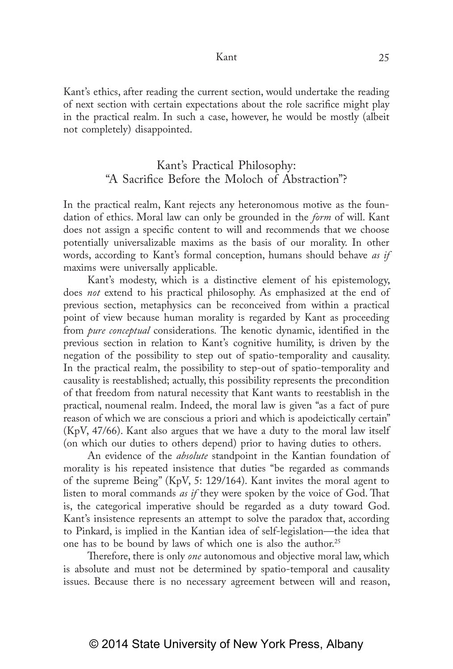Kant's ethics, after reading the current section, would undertake the reading of next section with certain expectations about the role sacrifice might play in the practical realm. In such a case, however, he would be mostly (albeit not completely) disappointed.

# Kant's Practical Philosophy: "A Sacrifice Before the Moloch of Abstraction"?

In the practical realm, Kant rejects any heteronomous motive as the foundation of ethics. Moral law can only be grounded in the *form* of will. Kant does not assign a specific content to will and recommends that we choose potentially universalizable maxims as the basis of our morality. In other words, according to Kant's formal conception, humans should behave *as if* maxims were universally applicable.

Kant's modesty, which is a distinctive element of his epistemology, does *not* extend to his practical philosophy. As emphasized at the end of previous section, metaphysics can be reconceived from within a practical point of view because human morality is regarded by Kant as proceeding from *pure conceptual* considerations*.* The kenotic dynamic, identified in the previous section in relation to Kant's cognitive humility, is driven by the negation of the possibility to step out of spatio-temporality and causality. In the practical realm, the possibility to step-out of spatio-temporality and causality is reestablished; actually, this possibility represents the precondition of that freedom from natural necessity that Kant wants to reestablish in the practical, noumenal realm. Indeed, the moral law is given "as a fact of pure reason of which we are conscious a priori and which is apodeictically certain" (KpV, 47/66). Kant also argues that we have a duty to the moral law itself (on which our duties to others depend) prior to having duties to others.

An evidence of the *absolute* standpoint in the Kantian foundation of morality is his repeated insistence that duties "be regarded as commands of the supreme Being" (KpV, 5: 129/164). Kant invites the moral agent to listen to moral commands *as if* they were spoken by the voice of God. That is, the categorical imperative should be regarded as a duty toward God. Kant's insistence represents an attempt to solve the paradox that, according to Pinkard, is implied in the Kantian idea of self-legislation—the idea that one has to be bound by laws of which one is also the author.<sup>25</sup>

Therefore, there is only *one* autonomous and objective moral law, which is absolute and must not be determined by spatio-temporal and causality issues. Because there is no necessary agreement between will and reason,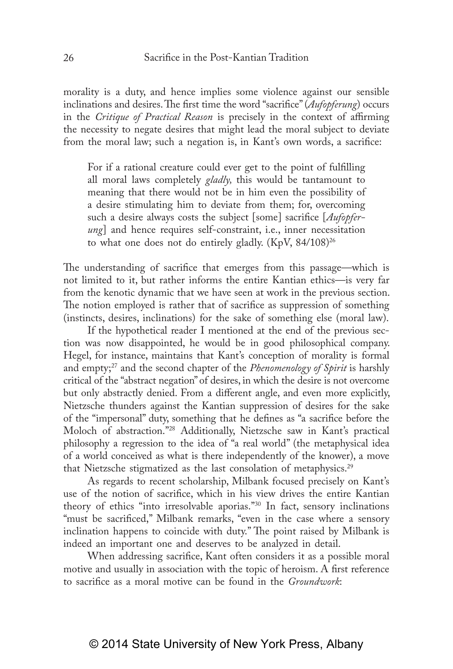morality is a duty, and hence implies some violence against our sensible inclinations and desires. The first time the word "sacrifice" (*Aufopferung*) occurs in the *Critique of Practical Reason* is precisely in the context of affirming the necessity to negate desires that might lead the moral subject to deviate from the moral law; such a negation is, in Kant's own words, a sacrifice:

For if a rational creature could ever get to the point of fulfilling all moral laws completely *gladly,* this would be tantamount to meaning that there would not be in him even the possibility of a desire stimulating him to deviate from them; for, overcoming such a desire always costs the subject [some] sacrifice [*Aufopferung*] and hence requires self-constraint, i.e., inner necessitation to what one does not do entirely gladly. (KpV, 84/108)<sup>26</sup>

The understanding of sacrifice that emerges from this passage—which is not limited to it, but rather informs the entire Kantian ethics—is very far from the kenotic dynamic that we have seen at work in the previous section. The notion employed is rather that of sacrifice as suppression of something (instincts, desires, inclinations) for the sake of something else (moral law).

If the hypothetical reader I mentioned at the end of the previous section was now disappointed, he would be in good philosophical company. Hegel, for instance, maintains that Kant's conception of morality is formal and empty;27 and the second chapter of the *Phenomenology of Spirit* is harshly critical of the "abstract negation" of desires, in which the desire is not overcome but only abstractly denied. From a different angle, and even more explicitly, Nietzsche thunders against the Kantian suppression of desires for the sake of the "impersonal" duty, something that he defines as "a sacrifice before the Moloch of abstraction."28 Additionally, Nietzsche saw in Kant's practical philosophy a regression to the idea of "a real world" (the metaphysical idea of a world conceived as what is there independently of the knower), a move that Nietzsche stigmatized as the last consolation of metaphysics.<sup>29</sup>

As regards to recent scholarship, Milbank focused precisely on Kant's use of the notion of sacrifice, which in his view drives the entire Kantian theory of ethics "into irresolvable aporias."30 In fact, sensory inclinations "must be sacrificed," Milbank remarks, "even in the case where a sensory inclination happens to coincide with duty." The point raised by Milbank is indeed an important one and deserves to be analyzed in detail.

When addressing sacrifice, Kant often considers it as a possible moral motive and usually in association with the topic of heroism. A first reference to sacrifice as a moral motive can be found in the *Groundwork*: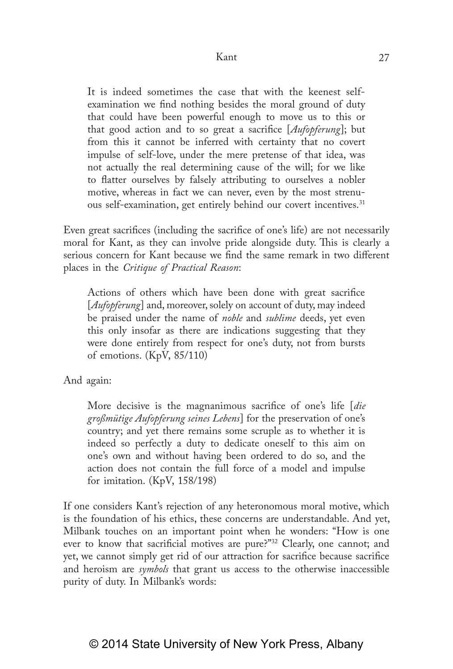It is indeed sometimes the case that with the keenest selfexamination we find nothing besides the moral ground of duty that could have been powerful enough to move us to this or that good action and to so great a sacrifice [*Aufopferung*]; but from this it cannot be inferred with certainty that no covert impulse of self-love, under the mere pretense of that idea, was not actually the real determining cause of the will; for we like to flatter ourselves by falsely attributing to ourselves a nobler motive, whereas in fact we can never, even by the most strenuous self-examination, get entirely behind our covert incentives.<sup>31</sup>

Even great sacrifices (including the sacrifice of one's life) are not necessarily moral for Kant, as they can involve pride alongside duty. This is clearly a serious concern for Kant because we find the same remark in two different places in the *Critique of Practical Reason*:

Actions of others which have been done with great sacrifice [*Aufopferung*] and, moreover, solely on account of duty, may indeed be praised under the name of *noble* and *sublime* deeds, yet even this only insofar as there are indications suggesting that they were done entirely from respect for one's duty, not from bursts of emotions. (KpV, 85/110)

And again:

More decisive is the magnanimous sacrifice of one's life [*die großmütige Aufopferung seines Lebens*] for the preservation of one's country; and yet there remains some scruple as to whether it is indeed so perfectly a duty to dedicate oneself to this aim on one's own and without having been ordered to do so, and the action does not contain the full force of a model and impulse for imitation. (KpV, 158/198)

If one considers Kant's rejection of any heteronomous moral motive, which is the foundation of his ethics, these concerns are understandable. And yet, Milbank touches on an important point when he wonders: "How is one ever to know that sacrificial motives are pure?"32 Clearly, one cannot; and yet, we cannot simply get rid of our attraction for sacrifice because sacrifice and heroism are *symbols* that grant us access to the otherwise inaccessible purity of duty. In Milbank's words:

# © 2014 State University of New York Press, Albany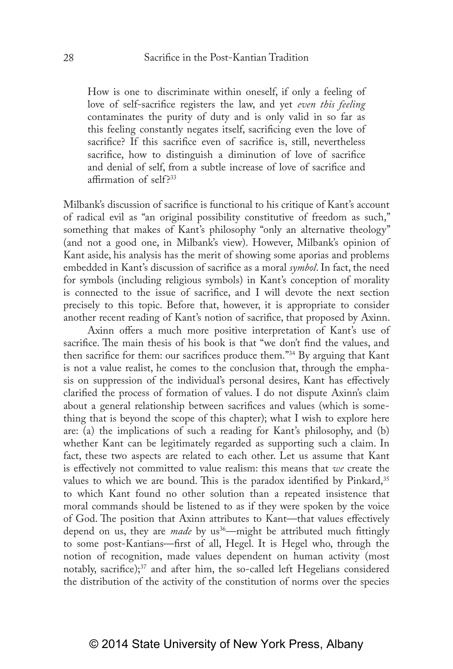How is one to discriminate within oneself, if only a feeling of love of self-sacrifice registers the law, and yet *even this feeling*  contaminates the purity of duty and is only valid in so far as this feeling constantly negates itself, sacrificing even the love of sacrifice? If this sacrifice even of sacrifice is, still, nevertheless sacrifice, how to distinguish a diminution of love of sacrifice and denial of self, from a subtle increase of love of sacrifice and affirmation of self?33

Milbank's discussion of sacrifice is functional to his critique of Kant's account of radical evil as "an original possibility constitutive of freedom as such," something that makes of Kant's philosophy "only an alternative theology" (and not a good one, in Milbank's view). However, Milbank's opinion of Kant aside, his analysis has the merit of showing some aporias and problems embedded in Kant's discussion of sacrifice as a moral *symbol*. In fact, the need for symbols (including religious symbols) in Kant's conception of morality is connected to the issue of sacrifice, and I will devote the next section precisely to this topic. Before that, however, it is appropriate to consider another recent reading of Kant's notion of sacrifice, that proposed by Axinn.

Axinn offers a much more positive interpretation of Kant's use of sacrifice. The main thesis of his book is that "we don't find the values, and then sacrifice for them: our sacrifices produce them."34 By arguing that Kant is not a value realist, he comes to the conclusion that, through the emphasis on suppression of the individual's personal desires, Kant has effectively clarified the process of formation of values. I do not dispute Axinn's claim about a general relationship between sacrifices and values (which is something that is beyond the scope of this chapter); what I wish to explore here are: (a) the implications of such a reading for Kant's philosophy, and (b) whether Kant can be legitimately regarded as supporting such a claim. In fact, these two aspects are related to each other. Let us assume that Kant is effectively not committed to value realism: this means that *we* create the values to which we are bound. This is the paradox identified by Pinkard,<sup>35</sup> to which Kant found no other solution than a repeated insistence that moral commands should be listened to as if they were spoken by the voice of God. The position that Axinn attributes to Kant—that values effectively depend on us, they are *made* by us<sup>36</sup>—might be attributed much fittingly to some post-Kantians—first of all, Hegel. It is Hegel who, through the notion of recognition, made values dependent on human activity (most notably, sacrifice);<sup>37</sup> and after him, the so-called left Hegelians considered the distribution of the activity of the constitution of norms over the species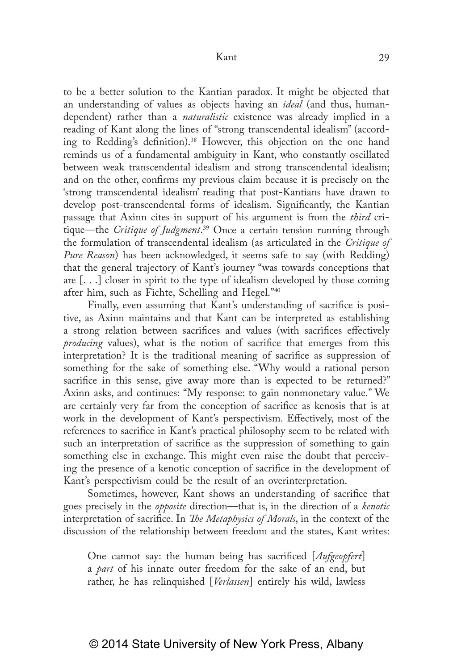to be a better solution to the Kantian paradox. It might be objected that an understanding of values as objects having an *ideal* (and thus, humandependent) rather than a *naturalistic* existence was already implied in a reading of Kant along the lines of "strong transcendental idealism" (according to Redding's definition).<sup>38</sup> However, this objection on the one hand reminds us of a fundamental ambiguity in Kant, who constantly oscillated between weak transcendental idealism and strong transcendental idealism; and on the other, confirms my previous claim because it is precisely on the 'strong transcendental idealism' reading that post-Kantians have drawn to develop post-transcendental forms of idealism. Significantly, the Kantian passage that Axinn cites in support of his argument is from the *third* critique—the *Critique of Judgment*. 39 Once a certain tension running through the formulation of transcendental idealism (as articulated in the *Critique of Pure Reason*) has been acknowledged, it seems safe to say (with Redding) that the general trajectory of Kant's journey "was towards conceptions that are  $\left[ \ldots \right]$  closer in spirit to the type of idealism developed by those coming after him, such as Fichte, Schelling and Hegel."40

Finally, even assuming that Kant's understanding of sacrifice is positive, as Axinn maintains and that Kant can be interpreted as establishing a strong relation between sacrifices and values (with sacrifices effectively *producing* values), what is the notion of sacrifice that emerges from this interpretation? It is the traditional meaning of sacrifice as suppression of something for the sake of something else. "Why would a rational person sacrifice in this sense, give away more than is expected to be returned?" Axinn asks, and continues: "My response: to gain nonmonetary value." We are certainly very far from the conception of sacrifice as kenosis that is at work in the development of Kant's perspectivism. Effectively, most of the references to sacrifice in Kant's practical philosophy seem to be related with such an interpretation of sacrifice as the suppression of something to gain something else in exchange. This might even raise the doubt that perceiving the presence of a kenotic conception of sacrifice in the development of Kant's perspectivism could be the result of an overinterpretation.

Sometimes, however, Kant shows an understanding of sacrifice that goes precisely in the *opposite* direction—that is, in the direction of a *kenotic* interpretation of sacrifice. In *The Metaphysics of Morals*, in the context of the discussion of the relationship between freedom and the states, Kant writes:

One cannot say: the human being has sacrificed [*Aufgeopfert*] a *part* of his innate outer freedom for the sake of an end, but rather, he has relinquished [*Verlassen*] entirely his wild, lawless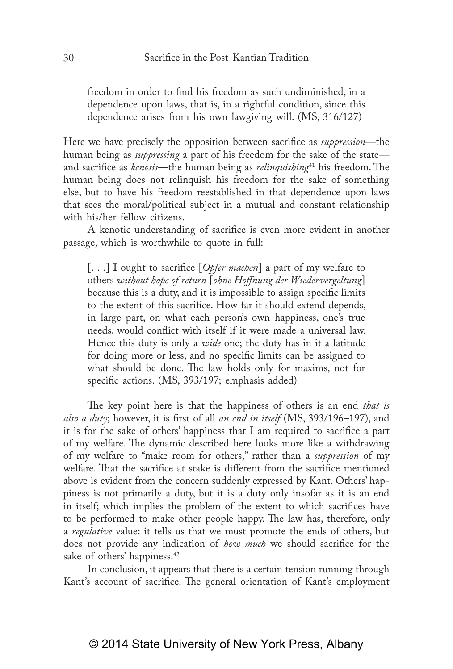freedom in order to find his freedom as such undiminished, in a dependence upon laws, that is, in a rightful condition, since this dependence arises from his own lawgiving will. (MS, 316/127)

Here we have precisely the opposition between sacrifice as *suppression*—the human being as *suppressing* a part of his freedom for the sake of the state and sacrifice as *kenosis*—the human being as *relinquishing*41 his freedom. The human being does not relinquish his freedom for the sake of something else, but to have his freedom reestablished in that dependence upon laws that sees the moral/political subject in a mutual and constant relationship with his/her fellow citizens.

A kenotic understanding of sacrifice is even more evident in another passage, which is worthwhile to quote in full:

[. . .] I ought to sacrifice [*Opfer machen*] a part of my welfare to others *without hope of return* [*ohne Hoffnung der Wiedervergeltung*] because this is a duty, and it is impossible to assign specific limits to the extent of this sacrifice. How far it should extend depends, in large part, on what each person's own happiness, one's true needs, would conflict with itself if it were made a universal law. Hence this duty is only a *wide* one; the duty has in it a latitude for doing more or less, and no specific limits can be assigned to what should be done. The law holds only for maxims, not for specific actions. (MS, 393/197; emphasis added)

The key point here is that the happiness of others is an end *that is also a duty*; however, it is first of all *an end in itself* (MS, 393/196–197), and it is for the sake of others' happiness that I am required to sacrifice a part of my welfare. The dynamic described here looks more like a withdrawing of my welfare to "make room for others," rather than a *suppression* of my welfare. That the sacrifice at stake is different from the sacrifice mentioned above is evident from the concern suddenly expressed by Kant. Others' happiness is not primarily a duty, but it is a duty only insofar as it is an end in itself; which implies the problem of the extent to which sacrifices have to be performed to make other people happy. The law has, therefore, only a *regulative* value: it tells us that we must promote the ends of others, but does not provide any indication of *how much* we should sacrifice for the sake of others' happiness.<sup>42</sup>

In conclusion, it appears that there is a certain tension running through Kant's account of sacrifice. The general orientation of Kant's employment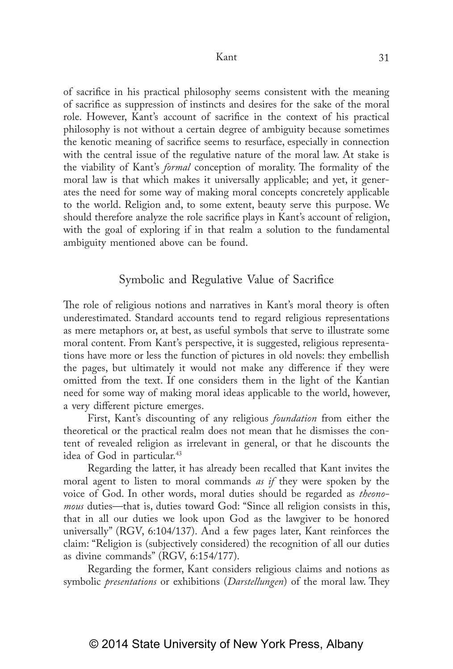of sacrifice in his practical philosophy seems consistent with the meaning of sacrifice as suppression of instincts and desires for the sake of the moral role. However, Kant's account of sacrifice in the context of his practical philosophy is not without a certain degree of ambiguity because sometimes the kenotic meaning of sacrifice seems to resurface, especially in connection with the central issue of the regulative nature of the moral law. At stake is the viability of Kant's *formal* conception of morality. The formality of the moral law is that which makes it universally applicable; and yet, it generates the need for some way of making moral concepts concretely applicable to the world. Religion and, to some extent, beauty serve this purpose. We should therefore analyze the role sacrifice plays in Kant's account of religion, with the goal of exploring if in that realm a solution to the fundamental ambiguity mentioned above can be found.

# Symbolic and Regulative Value of Sacrifice

The role of religious notions and narratives in Kant's moral theory is often underestimated. Standard accounts tend to regard religious representations as mere metaphors or, at best, as useful symbols that serve to illustrate some moral content. From Kant's perspective, it is suggested, religious representations have more or less the function of pictures in old novels: they embellish the pages, but ultimately it would not make any difference if they were omitted from the text. If one considers them in the light of the Kantian need for some way of making moral ideas applicable to the world, however, a very different picture emerges.

First, Kant's discounting of any religious *foundation* from either the theoretical or the practical realm does not mean that he dismisses the content of revealed religion as irrelevant in general, or that he discounts the idea of God in particular.43

Regarding the latter, it has already been recalled that Kant invites the moral agent to listen to moral commands *as if* they were spoken by the voice of God. In other words, moral duties should be regarded as *theonomous* duties—that is, duties toward God: "Since all religion consists in this, that in all our duties we look upon God as the lawgiver to be honored universally" (RGV, 6:104/137). And a few pages later, Kant reinforces the claim: "Religion is (subjectively considered) the recognition of all our duties as divine commands" (RGV, 6:154/177).

Regarding the former, Kant considers religious claims and notions as symbolic *presentations* or exhibitions (*Darstellungen*) of the moral law. They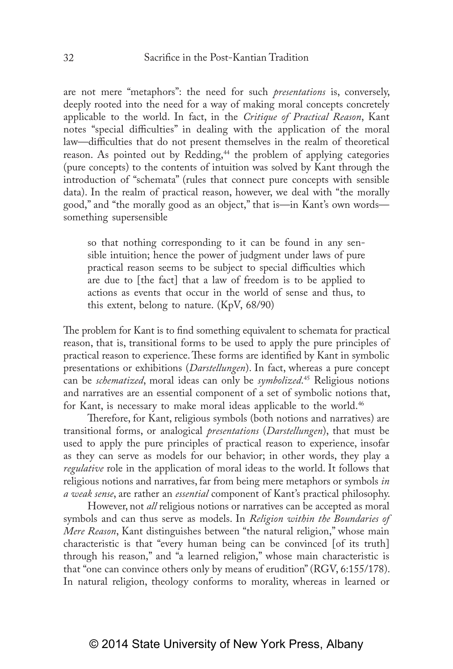are not mere "metaphors": the need for such *presentations* is, conversely, deeply rooted into the need for a way of making moral concepts concretely applicable to the world. In fact, in the *Critique of Practical Reason*, Kant notes "special difficulties" in dealing with the application of the moral law—difficulties that do not present themselves in the realm of theoretical reason. As pointed out by Redding,<sup>44</sup> the problem of applying categories (pure concepts) to the contents of intuition was solved by Kant through the introduction of "schemata" (rules that connect pure concepts with sensible data). In the realm of practical reason, however, we deal with "the morally good," and "the morally good as an object," that is—in Kant's own words something supersensible

so that nothing corresponding to it can be found in any sensible intuition; hence the power of judgment under laws of pure practical reason seems to be subject to special difficulties which are due to [the fact] that a law of freedom is to be applied to actions as events that occur in the world of sense and thus, to this extent, belong to nature. (KpV, 68/90)

The problem for Kant is to find something equivalent to schemata for practical reason, that is, transitional forms to be used to apply the pure principles of practical reason to experience. These forms are identified by Kant in symbolic presentations or exhibitions (*Darstellungen*). In fact, whereas a pure concept can be *schematized*, moral ideas can only be *symbolized*. 45 Religious notions and narratives are an essential component of a set of symbolic notions that, for Kant, is necessary to make moral ideas applicable to the world.<sup>46</sup>

Therefore, for Kant, religious symbols (both notions and narratives) are transitional forms, or analogical *presentations* (*Darstellungen*), that must be used to apply the pure principles of practical reason to experience, insofar as they can serve as models for our behavior; in other words, they play a *regulative* role in the application of moral ideas to the world. It follows that religious notions and narratives, far from being mere metaphors or symbols *in a weak sense*, are rather an *essential* component of Kant's practical philosophy.

However, not *all* religious notions or narratives can be accepted as moral symbols and can thus serve as models. In *Religion within the Boundaries of Mere Reason*, Kant distinguishes between "the natural religion," whose main characteristic is that "every human being can be convinced [of its truth] through his reason," and "a learned religion," whose main characteristic is that "one can convince others only by means of erudition" (RGV, 6:155/178). In natural religion, theology conforms to morality, whereas in learned or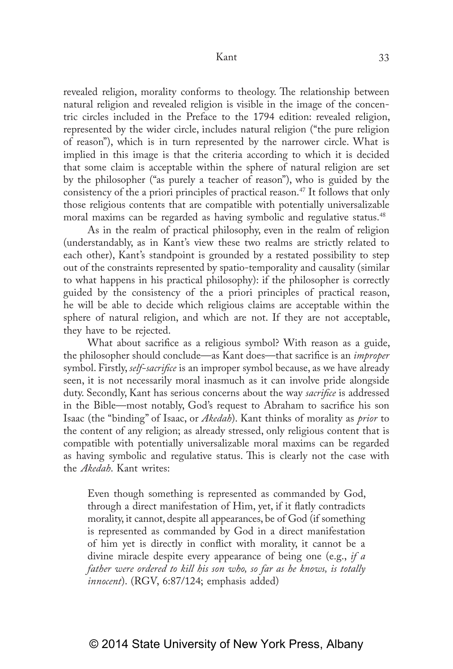revealed religion, morality conforms to theology. The relationship between natural religion and revealed religion is visible in the image of the concentric circles included in the Preface to the 1794 edition: revealed religion, represented by the wider circle, includes natural religion ("the pure religion of reason"), which is in turn represented by the narrower circle. What is implied in this image is that the criteria according to which it is decided that some claim is acceptable within the sphere of natural religion are set by the philosopher ("as purely a teacher of reason"), who is guided by the consistency of the a priori principles of practical reason.<sup>47</sup> It follows that only those religious contents that are compatible with potentially universalizable moral maxims can be regarded as having symbolic and regulative status.<sup>48</sup>

As in the realm of practical philosophy, even in the realm of religion (understandably, as in Kant's view these two realms are strictly related to each other), Kant's standpoint is grounded by a restated possibility to step out of the constraints represented by spatio-temporality and causality (similar to what happens in his practical philosophy): if the philosopher is correctly guided by the consistency of the a priori principles of practical reason, he will be able to decide which religious claims are acceptable within the sphere of natural religion, and which are not. If they are not acceptable, they have to be rejected.

What about sacrifice as a religious symbol? With reason as a guide, the philosopher should conclude—as Kant does—that sacrifice is an *improper* symbol. Firstly, *self-sacrifice* is an improper symbol because, as we have already seen, it is not necessarily moral inasmuch as it can involve pride alongside duty. Secondly, Kant has serious concerns about the way *sacrifice* is addressed in the Bible—most notably, God's request to Abraham to sacrifice his son Isaac (the "binding" of Isaac, or *Akedah*). Kant thinks of morality as *prior* to the content of any religion; as already stressed, only religious content that is compatible with potentially universalizable moral maxims can be regarded as having symbolic and regulative status. This is clearly not the case with the *Akedah*. Kant writes:

Even though something is represented as commanded by God, through a direct manifestation of Him, yet, if it flatly contradicts morality, it cannot, despite all appearances, be of God (if something is represented as commanded by God in a direct manifestation of him yet is directly in conflict with morality, it cannot be a divine miracle despite every appearance of being one (e.g., *if a father were ordered to kill his son who, so far as he knows, is totally innocent*). (RGV, 6:87/124; emphasis added)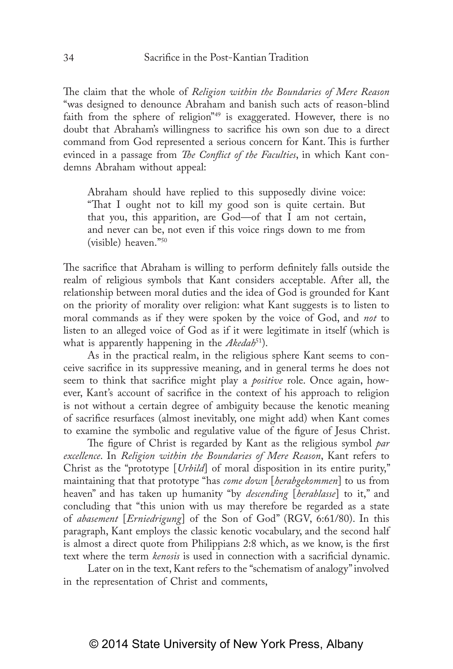The claim that the whole of *Religion within the Boundaries of Mere Reason* "was designed to denounce Abraham and banish such acts of reason-blind faith from the sphere of religion"<sup>49</sup> is exaggerated. However, there is no doubt that Abraham's willingness to sacrifice his own son due to a direct command from God represented a serious concern for Kant. This is further evinced in a passage from *The Conflict of the Faculties*, in which Kant condemns Abraham without appeal:

Abraham should have replied to this supposedly divine voice: "That I ought not to kill my good son is quite certain. But that you, this apparition, are God—of that I am not certain, and never can be, not even if this voice rings down to me from (visible) heaven."50

The sacrifice that Abraham is willing to perform definitely falls outside the realm of religious symbols that Kant considers acceptable. After all, the relationship between moral duties and the idea of God is grounded for Kant on the priority of morality over religion: what Kant suggests is to listen to moral commands as if they were spoken by the voice of God, and *not* to listen to an alleged voice of God as if it were legitimate in itself (which is what is apparently happening in the *Akedah*<sup>51</sup>).

As in the practical realm, in the religious sphere Kant seems to conceive sacrifice in its suppressive meaning, and in general terms he does not seem to think that sacrifice might play a *positive* role. Once again, however, Kant's account of sacrifice in the context of his approach to religion is not without a certain degree of ambiguity because the kenotic meaning of sacrifice resurfaces (almost inevitably, one might add) when Kant comes to examine the symbolic and regulative value of the figure of Jesus Christ.

The figure of Christ is regarded by Kant as the religious symbol *par excellence*. In *Religion within the Boundaries of Mere Reason*, Kant refers to Christ as the "prototype [*Urbild*] of moral disposition in its entire purity," maintaining that that prototype "has *come down* [*herabgekommen*] to us from heaven" and has taken up humanity "by *descending* [*herablasse*] to it," and concluding that "this union with us may therefore be regarded as a state of *abasement* [*Erniedrigung*] of the Son of God" (RGV, 6:61/80). In this paragraph, Kant employs the classic kenotic vocabulary, and the second half is almost a direct quote from Philippians 2:8 which, as we know, is the first text where the term *kenosis* is used in connection with a sacrificial dynamic.

Later on in the text, Kant refers to the "schematism of analogy" involved in the representation of Christ and comments,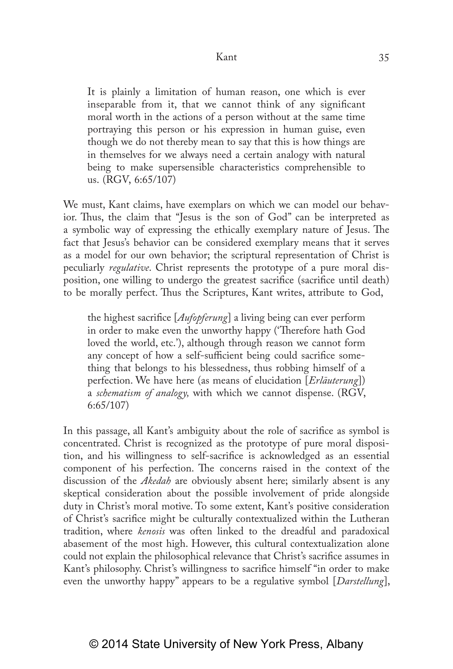It is plainly a limitation of human reason, one which is ever inseparable from it, that we cannot think of any significant moral worth in the actions of a person without at the same time portraying this person or his expression in human guise, even though we do not thereby mean to say that this is how things are in themselves for we always need a certain analogy with natural being to make supersensible characteristics comprehensible to us. (RGV, 6:65/107)

We must, Kant claims, have exemplars on which we can model our behavior. Thus, the claim that "Jesus is the son of God" can be interpreted as a symbolic way of expressing the ethically exemplary nature of Jesus. The fact that Jesus's behavior can be considered exemplary means that it serves as a model for our own behavior; the scriptural representation of Christ is peculiarly *regulative*. Christ represents the prototype of a pure moral disposition, one willing to undergo the greatest sacrifice (sacrifice until death) to be morally perfect. Thus the Scriptures, Kant writes, attribute to God,

the highest sacrifice [*Aufopferung*] a living being can ever perform in order to make even the unworthy happy ('Therefore hath God loved the world, etc.'), although through reason we cannot form any concept of how a self-sufficient being could sacrifice something that belongs to his blessedness, thus robbing himself of a perfection. We have here (as means of elucidation [*Erläuterung*]) a *schematism of analogy,* with which we cannot dispense. (RGV, 6:65/107)

In this passage, all Kant's ambiguity about the role of sacrifice as symbol is concentrated. Christ is recognized as the prototype of pure moral disposition, and his willingness to self-sacrifice is acknowledged as an essential component of his perfection. The concerns raised in the context of the discussion of the *Akedah* are obviously absent here; similarly absent is any skeptical consideration about the possible involvement of pride alongside duty in Christ's moral motive. To some extent, Kant's positive consideration of Christ's sacrifice might be culturally contextualized within the Lutheran tradition, where *kenosis* was often linked to the dreadful and paradoxical abasement of the most high. However, this cultural contextualization alone could not explain the philosophical relevance that Christ's sacrifice assumes in Kant's philosophy. Christ's willingness to sacrifice himself "in order to make even the unworthy happy" appears to be a regulative symbol [*Darstellung*],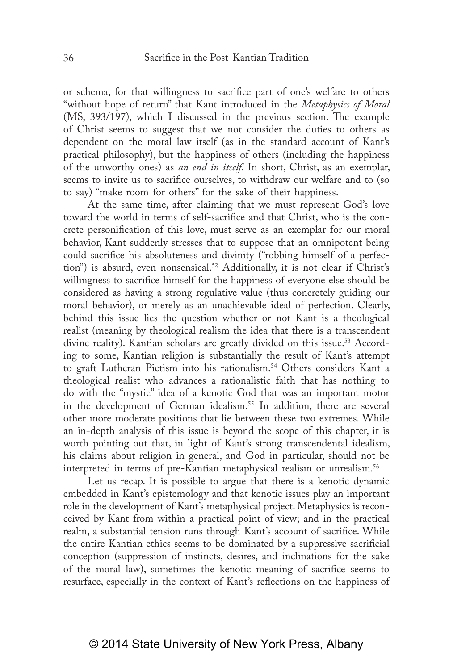or schema, for that willingness to sacrifice part of one's welfare to others "without hope of return" that Kant introduced in the *Metaphysics of Moral* (MS, 393/197), which I discussed in the previous section. The example of Christ seems to suggest that we not consider the duties to others as dependent on the moral law itself (as in the standard account of Kant's practical philosophy), but the happiness of others (including the happiness of the unworthy ones) as *an end in itself*. In short, Christ, as an exemplar, seems to invite us to sacrifice ourselves, to withdraw our welfare and to (so to say) "make room for others" for the sake of their happiness.

At the same time, after claiming that we must represent God's love toward the world in terms of self-sacrifice and that Christ, who is the concrete personification of this love, must serve as an exemplar for our moral behavior, Kant suddenly stresses that to suppose that an omnipotent being could sacrifice his absoluteness and divinity ("robbing himself of a perfection") is absurd, even nonsensical.<sup>52</sup> Additionally, it is not clear if Christ's willingness to sacrifice himself for the happiness of everyone else should be considered as having a strong regulative value (thus concretely guiding our moral behavior), or merely as an unachievable ideal of perfection. Clearly, behind this issue lies the question whether or not Kant is a theological realist (meaning by theological realism the idea that there is a transcendent divine reality). Kantian scholars are greatly divided on this issue.<sup>53</sup> According to some, Kantian religion is substantially the result of Kant's attempt to graft Lutheran Pietism into his rationalism.<sup>54</sup> Others considers Kant a theological realist who advances a rationalistic faith that has nothing to do with the "mystic" idea of a kenotic God that was an important motor in the development of German idealism.55 In addition, there are several other more moderate positions that lie between these two extremes. While an in-depth analysis of this issue is beyond the scope of this chapter, it is worth pointing out that, in light of Kant's strong transcendental idealism, his claims about religion in general, and God in particular, should not be interpreted in terms of pre-Kantian metaphysical realism or unrealism.<sup>56</sup>

Let us recap. It is possible to argue that there is a kenotic dynamic embedded in Kant's epistemology and that kenotic issues play an important role in the development of Kant's metaphysical project. Metaphysics is reconceived by Kant from within a practical point of view; and in the practical realm, a substantial tension runs through Kant's account of sacrifice. While the entire Kantian ethics seems to be dominated by a suppressive sacrificial conception (suppression of instincts, desires, and inclinations for the sake of the moral law), sometimes the kenotic meaning of sacrifice seems to resurface, especially in the context of Kant's reflections on the happiness of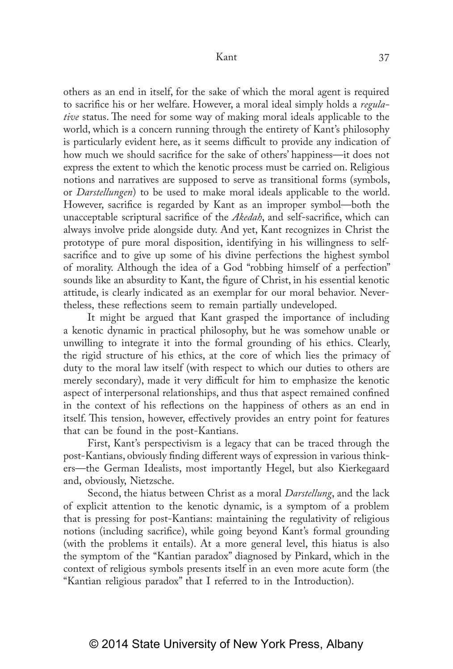others as an end in itself, for the sake of which the moral agent is required to sacrifice his or her welfare. However, a moral ideal simply holds a *regulative* status. The need for some way of making moral ideals applicable to the world, which is a concern running through the entirety of Kant's philosophy is particularly evident here, as it seems difficult to provide any indication of how much we should sacrifice for the sake of others' happiness—it does not express the extent to which the kenotic process must be carried on. Religious notions and narratives are supposed to serve as transitional forms (symbols, or *Darstellungen*) to be used to make moral ideals applicable to the world. However, sacrifice is regarded by Kant as an improper symbol—both the unacceptable scriptural sacrifice of the *Akedah*, and self-sacrifice, which can always involve pride alongside duty. And yet, Kant recognizes in Christ the prototype of pure moral disposition, identifying in his willingness to selfsacrifice and to give up some of his divine perfections the highest symbol of morality. Although the idea of a God "robbing himself of a perfection" sounds like an absurdity to Kant, the figure of Christ, in his essential kenotic attitude, is clearly indicated as an exemplar for our moral behavior. Nevertheless, these reflections seem to remain partially undeveloped.

It might be argued that Kant grasped the importance of including a kenotic dynamic in practical philosophy, but he was somehow unable or unwilling to integrate it into the formal grounding of his ethics. Clearly, the rigid structure of his ethics, at the core of which lies the primacy of duty to the moral law itself (with respect to which our duties to others are merely secondary), made it very difficult for him to emphasize the kenotic aspect of interpersonal relationships, and thus that aspect remained confined in the context of his reflections on the happiness of others as an end in itself. This tension, however, effectively provides an entry point for features that can be found in the post-Kantians.

First, Kant's perspectivism is a legacy that can be traced through the post-Kantians, obviously finding different ways of expression in various thinkers—the German Idealists, most importantly Hegel, but also Kierkegaard and, obviously, Nietzsche.

Second, the hiatus between Christ as a moral *Darstellung*, and the lack of explicit attention to the kenotic dynamic, is a symptom of a problem that is pressing for post-Kantians: maintaining the regulativity of religious notions (including sacrifice), while going beyond Kant's formal grounding (with the problems it entails). At a more general level, this hiatus is also the symptom of the "Kantian paradox" diagnosed by Pinkard, which in the context of religious symbols presents itself in an even more acute form (the "Kantian religious paradox" that I referred to in the Introduction).